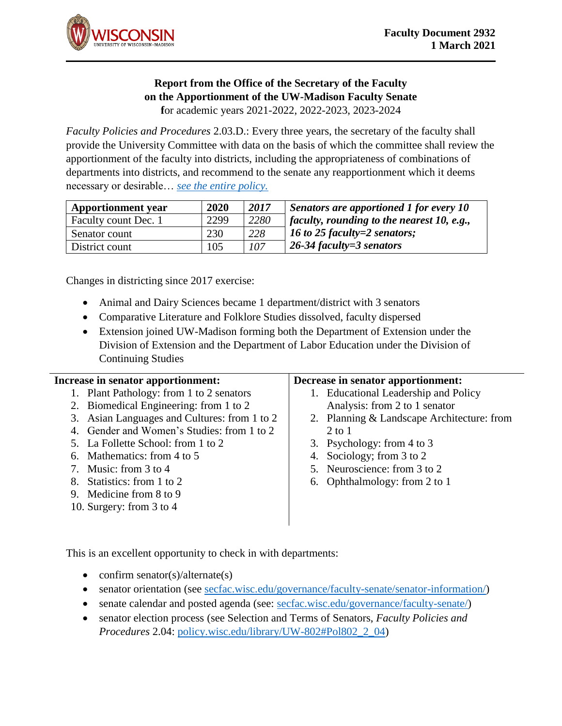

## **Report from the Office of the Secretary of the Faculty on the Apportionment of the UW-Madison Faculty Senate**

**f**or academic years 2021-2022, 2022-2023, 2023-2024

*Faculty Policies and Procedures* 2.03.D.: Every three years, the secretary of the faculty shall provide the University Committee with data on the basis of which the committee shall review the apportionment of the faculty into districts, including the appropriateness of combinations of departments into districts, and recommend to the senate any reapportionment which it deems necessary or desirable… *[see the entire policy.](https://policy.wisc.edu/library/UW-802#Pol802_2_03)*

| <b>Apportionment</b> year | 2020 | 2017 | $\vert$ Senators are apportioned 1 for every 10   |
|---------------------------|------|------|---------------------------------------------------|
| Faculty count Dec. 1      | 2299 | 2280 | <i>faculty, rounding to the nearest 10, e.g.,</i> |
| Senator count             | 230  | 228  | 16 to 25 faculty=2 senators;                      |
| District count            | 105  | 107  | $\vert$ 26-34 faculty=3 senators                  |

Changes in districting since 2017 exercise:

- Animal and Dairy Sciences became 1 department/district with 3 senators
- Comparative Literature and Folklore Studies dissolved, faculty dispersed
- Extension joined UW-Madison forming both the Department of Extension under the Division of Extension and the Department of Labor Education under the Division of Continuing Studies

| Increase in senator apportionment:           | Decrease in senator apportionment:         |
|----------------------------------------------|--------------------------------------------|
| 1. Plant Pathology: from 1 to 2 senators     | 1. Educational Leadership and Policy       |
| 2. Biomedical Engineering: from 1 to 2       | Analysis: from 2 to 1 senator              |
| 3. Asian Languages and Cultures: from 1 to 2 | 2. Planning & Landscape Architecture: from |
| 4. Gender and Women's Studies: from 1 to 2   | $2$ to $1$                                 |
| 5. La Follette School: from 1 to 2           | 3. Psychology: from 4 to 3                 |
| 6. Mathematics: from 4 to 5                  | 4. Sociology; from 3 to 2                  |
| 7. Music: from $3$ to $4$                    | 5. Neuroscience: from 3 to 2               |
| 8. Statistics: from 1 to 2                   | 6. Ophthalmology: from 2 to 1              |
| 9. Medicine from 8 to 9                      |                                            |
| 10. Surgery: from $3$ to $4$                 |                                            |
|                                              |                                            |

This is an excellent opportunity to check in with departments:

- confirm senator(s)/alternate(s)
- senator orientation (see [secfac.wisc.edu/governance/faculty-senate/senator-information/\)](https://secfac.wisc.edu/governance/faculty-senate/senator-information/)
- senate calendar and posted agenda (see: [secfac.wisc.edu/governance/faculty-senate/\)](https://secfac.wisc.edu/governance/faculty-senate/)
- senator election process (see Selection and Terms of Senators, *Faculty Policies and Procedures* 2.04: [policy.wisc.edu/library/UW-802#Pol802\\_2\\_04\)](https://policy.wisc.edu/library/UW-802#Pol802_2_04)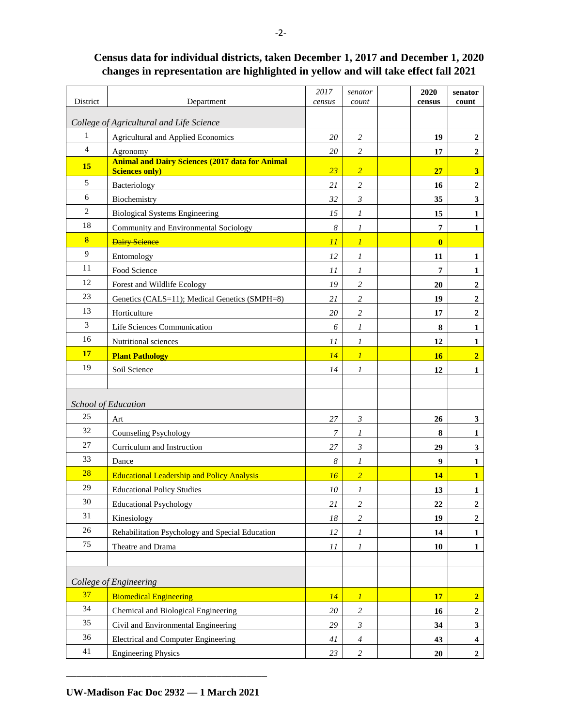## District Department *2017 census senator count* **2020 census senator count** *College of Agricultural and Life Science* 1 Agricultural and Applied Economics *20 2* **19 2** 4 Agronomy *20 2* **17 2 <sup>15</sup> Animal and Dairy Sciences (2017 data for Animal Sciences only)** *23 2* **27 3** 5 Bacteriology *21 2* **16 2** 6 Biochemistry 32 3 3 35 3 2 Biological Systems Engineering  $15 \begin{vmatrix} 15 \end{vmatrix}$  **1 15 1** 18 Community and Environmental Sociology *8 1* **7 1** 8 Dairy Science *11 1* **0** 9 Entomology *12 1* **11 1**  $11$  Food Science  $11$  *1*  $1$   $1$   $1$   $1$   $1$   $1$   $1$   $1$ 12 Forest and Wildlife Ecology *19 2* **20 2** 23 Genetics (CALS=11); Medical Genetics (SMPH=8) *21 2* **19 2** 13 Horticulture *20 2* **17 2**  $3$  Life Sciences Communication  $6$  *I* **8 1** 16 Nutritional sciences *11 1* **12 1 17 Plant Pathology** *14 1* **16 2** 19 Soil Science 19 14 1 1 12 12 *School of Education*  $25$  Art **27 3 20 26 3** 32 Counseling Psychology *7 1* **8 1** 27 Curriculum and Instruction  $27 \begin{array}{|c|c|c|c|c|} \hline 27 & 3 & 3 \ \hline \end{array}$  29  $\begin{array}{|c|c|c|c|c|} \hline 3 & 3 & 3 \ \hline \end{array}$  $33$  Dance **8 1 9 1** 28 **Educational Leadership and Policy Analysis** 16 **16 2 1 14 14 1** 29 **Educational Policy Studies** 1 *10 1* **1 13 1** 30 Educational Psychology *21 2* **22 2** 31 Kinesiology *18 2* **19 2** 26 Rehabilitation Psychology and Special Education  $12 \mid 12 \mid 1$  **14 1**  $75$  Theatre and Drama **11 1 1 10 1 10 1** *College of Engineering* 37 Biomedical Engineering *14 1* **17 2**  $34$  Chemical and Biological Engineering  $20 \mid 2 \mid 2 \mid 16 \mid 2$  $35$  Civil and Environmental Engineering  $29 \mid 3 \mid 3 \mid 34 \mid 3$  $36$  Electrical and Computer Engineering  $41 \mid 4$  **43 43 4** 41 Engineering Physics  $23 \begin{pmatrix} 2 \\ 2 \end{pmatrix}$  **20 2**

## **Census data for individual districts, taken December 1, 2017 and December 1, 2020 changes in representation are highlighted in yellow and will take effect fall 2021**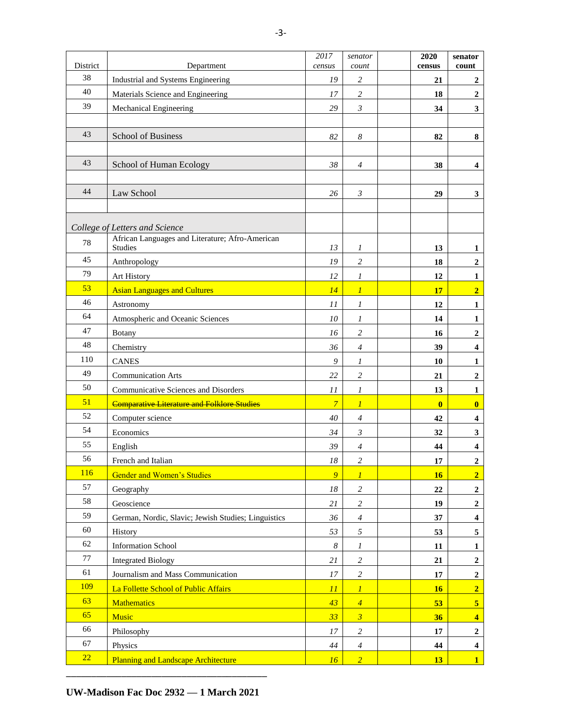| District |                                                                   | 2017             | senator              | 2020         | senator                 |
|----------|-------------------------------------------------------------------|------------------|----------------------|--------------|-------------------------|
| 38       | Department                                                        | census           | count                | census       | count                   |
| 40       | Industrial and Systems Engineering                                | 19               | $\overline{c}$       | 21           | 2                       |
| 39       | Materials Science and Engineering                                 | 17               | $\sqrt{2}$           | 18           | $\overline{2}$          |
|          | Mechanical Engineering                                            | 29               | $\mathfrak{Z}$       | 34           | $\overline{\mathbf{3}}$ |
| 43       |                                                                   |                  |                      |              |                         |
|          | School of Business                                                | 82               | $\boldsymbol{8}$     | 82           | 8                       |
| 43       |                                                                   |                  |                      |              |                         |
|          | School of Human Ecology                                           | 38               | $\overline{4}$       | 38           | 4                       |
| 44       |                                                                   |                  |                      |              |                         |
|          | Law School                                                        | 26               | $\boldsymbol{\beta}$ | 29           | $\mathbf{3}$            |
|          |                                                                   |                  |                      |              |                         |
|          | College of Letters and Science                                    |                  |                      |              |                         |
| 78       | African Languages and Literature; Afro-American<br><b>Studies</b> | 13               |                      | 13           | $\mathbf{1}$            |
| 45       |                                                                   | 19               | 1<br>$\sqrt{2}$      |              |                         |
| 79       | Anthropology<br>Art History                                       | 12               |                      | 18           | $\boldsymbol{2}$        |
| 53       |                                                                   |                  | 1                    | 12           | 1<br>$\overline{2}$     |
| 46       | <b>Asian Languages and Cultures</b>                               | 14               | $\boldsymbol{l}$     | 17           |                         |
| 64       | Astronomy                                                         | 11               | $\cal I$             | 12           | $\mathbf{1}$            |
| 47       | Atmospheric and Oceanic Sciences                                  | 10               | 1                    | 14           | $\mathbf{1}$            |
| 48       | Botany                                                            | 16               | $\sqrt{2}$           | 16           | $\mathbf 2$             |
| 110      | Chemistry                                                         | 36               | $\overline{4}$       | 39           | $\overline{\mathbf{4}}$ |
| 49       | <b>CANES</b>                                                      | 9                | $\boldsymbol{l}$     | 10           | $\mathbf{1}$            |
| 50       | <b>Communication Arts</b>                                         | 22               | $\boldsymbol{2}$     | 21           | $\mathbf 2$             |
| 51       | Communicative Sciences and Disorders                              | 11               | $\boldsymbol{l}$     | 13           | $\mathbf{1}$            |
| 52       | <b>Comparative Literature and Folklore Studies</b>                | $\overline{7}$   | $\overline{l}$       | $\mathbf{0}$ | $\bf{0}$                |
| 54       | Computer science                                                  | 40               | $\overline{4}$       | 42           | $\boldsymbol{4}$        |
| 55       | Economics                                                         | 34               | $\mathfrak{Z}$       | 32           | $\mathbf{3}$            |
| 56       | English                                                           | 39               | $\overline{4}$       | 44           | $\overline{\mathbf{4}}$ |
| 116      | French and Italian                                                | $18\,$           | $\boldsymbol{2}$     | 17           | $\overline{\mathbf{c}}$ |
| 57       | <b>Gender and Women's Studies</b>                                 | $\overline{9}$   | $\boldsymbol{l}$     | 16           | $\overline{2}$          |
| 58       | Geography                                                         | $18\,$           | $\sqrt{2}$           | 22           | $\mathbf 2$             |
| 59       | Geoscience                                                        | 21               | $\overline{c}$       | 19           | $\boldsymbol{2}$        |
| $60\,$   | German, Nordic, Slavic; Jewish Studies; Linguistics               | 36               | $\boldsymbol{4}$     | 37           | $\overline{\mathbf{4}}$ |
| 62       | History                                                           | 53               | $\sqrt{2}$           | 53           | $\sqrt{5}$              |
| $77\,$   | <b>Information School</b>                                         | $\boldsymbol{8}$ | $\boldsymbol{l}$     | 11           | $\mathbf{1}$            |
| 61       | <b>Integrated Biology</b>                                         | 21               | $\sqrt{2}$           | 21           | $\mathbf 2$             |
| 109      | Journalism and Mass Communication                                 | 17               | $\overline{c}$       | $17\,$       | $\mathbf 2$             |
|          | La Follette School of Public Affairs                              | 11               | $\cal I$             | 16           | $\overline{2}$          |
| 63       | <b>Mathematics</b>                                                | 43               | $\overline{4}$       | 53           | $\overline{\mathbf{5}}$ |
| 65       | Music                                                             | 33               | $\boldsymbol{\beta}$ | 36           | $\overline{\mathbf{4}}$ |
| 66       | Philosophy                                                        | $17\,$           | $\sqrt{2}$           | 17           | $\boldsymbol{2}$        |
| 67       | Physics                                                           | $\sqrt{44}$      | $\boldsymbol{4}$     | 44           | $\overline{\mathbf{4}}$ |
| 22       | <b>Planning and Landscape Architecture</b>                        | 16               | $\overline{2}$       | 13           | $\mathbf{1}$            |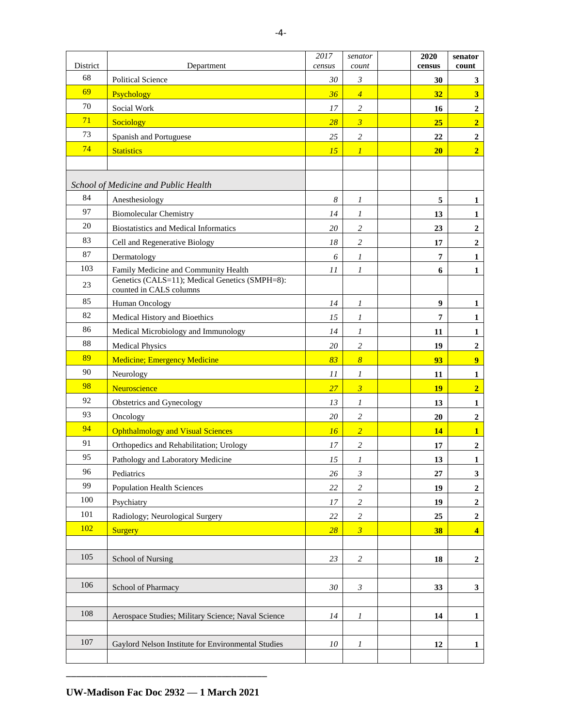|                |                                                                           | 2017             | senator                 | 2020             | senator                 |
|----------------|---------------------------------------------------------------------------|------------------|-------------------------|------------------|-------------------------|
| District<br>68 | Department                                                                | census           | count                   | census           | count                   |
| 69             | <b>Political Science</b>                                                  | 30               | $\mathfrak{Z}$          | 30               | $\mathbf{3}$            |
| 70             | Psychology                                                                | 36               | $\overline{4}$          | 32               | $\overline{\mathbf{3}}$ |
| 71             | Social Work                                                               | 17               | $\sqrt{2}$              | 16               | $\overline{2}$          |
| 73             | <b>Sociology</b>                                                          | 28               | $\overline{\mathbf{3}}$ | 25               | $\overline{2}$          |
| 74             | Spanish and Portuguese                                                    | 25               | $\sqrt{2}$              | 22               | $\mathbf 2$             |
|                | <b>Statistics</b>                                                         | 15               | $\boldsymbol{l}$        | 20               | $\overline{2}$          |
|                |                                                                           |                  |                         |                  |                         |
|                | School of Medicine and Public Health                                      |                  |                         |                  |                         |
| 84             | Anesthesiology                                                            | $\boldsymbol{8}$ | 1                       | 5                | 1                       |
| 97             | <b>Biomolecular Chemistry</b>                                             | 14               | 1                       | 13               | $\mathbf{1}$            |
| 20             | <b>Biostatistics and Medical Informatics</b>                              | 20               | $\overline{c}$          | 23               | $\mathbf 2$             |
| 83             | Cell and Regenerative Biology                                             | 18               | $\overline{c}$          | 17               | $\mathbf{2}$            |
| 87             | Dermatology                                                               | 6                | 1                       | $\overline{7}$   | $\mathbf{1}$            |
| 103            | Family Medicine and Community Health                                      | 11               | 1                       | 6                | 1                       |
| 23             | Genetics (CALS=11); Medical Genetics (SMPH=8):<br>counted in CALS columns |                  |                         |                  |                         |
| 85             | <b>Human Oncology</b>                                                     | 14               | 1                       | $\boldsymbol{9}$ | $\mathbf{1}$            |
| 82             | Medical History and Bioethics                                             | 15               | 1                       | 7                | $\mathbf{1}$            |
| 86             | Medical Microbiology and Immunology                                       | 14               | 1                       | 11               | 1                       |
| 88             | <b>Medical Physics</b>                                                    | 20               | $\overline{c}$          | 19               | $\mathbf{2}$            |
| 89             | <b>Medicine</b> ; Emergency Medicine                                      | 83               | $\boldsymbol{8}$        | 93               | $\overline{9}$          |
| 90             | Neurology                                                                 | 11               | 1                       | 11               | 1                       |
| 98             | Neuroscience                                                              | 27               | $\overline{\mathbf{3}}$ | <b>19</b>        | $\overline{2}$          |
| 92             | Obstetrics and Gynecology                                                 | 13               | 1                       | 13               | 1                       |
| 93             | Oncology                                                                  | 20               | 2                       | 20               | $\boldsymbol{2}$        |
| 94             | <b>Ophthalmology and Visual Sciences</b>                                  | 16               | $\overline{2}$          | 14               | $\overline{\mathbf{1}}$ |
| 91             | Orthopedics and Rehabilitation; Urology                                   | 17               | 2                       | 17               | $\overline{2}$          |
| 95             | Pathology and Laboratory Medicine                                         | 15               | $\overline{I}$          | 13               | $\overline{1}$          |
| 96             | Pediatrics                                                                | 26               | $\mathfrak{Z}$          | 27               | $\overline{\mathbf{3}}$ |
| 99             | <b>Population Health Sciences</b>                                         | 22               | $\overline{c}$          | 19               | $\mathbf{2}$            |
| 100            | Psychiatry                                                                | 17               | $\sqrt{2}$              | 19               | $\overline{\mathbf{c}}$ |
| 101            | Radiology; Neurological Surgery                                           | $22\,$           | $\mathfrak{2}$          | 25               | $\boldsymbol{2}$        |
| 102            | <b>Surgery</b>                                                            | 28               | $\mathfrak{z}$          | 38               | $\overline{\mathbf{4}}$ |
|                |                                                                           |                  |                         |                  |                         |
| 105            | School of Nursing                                                         | 23               | $\sqrt{2}$              | 18               | $\boldsymbol{2}$        |
|                |                                                                           |                  |                         |                  |                         |
| 106            | School of Pharmacy                                                        | 30               | $\mathfrak{Z}$          | 33               | $\mathbf{3}$            |
|                |                                                                           |                  |                         |                  |                         |
| 108            | Aerospace Studies; Military Science; Naval Science                        | 14               | 1                       | 14               | $\mathbf{1}$            |
|                |                                                                           |                  |                         |                  |                         |
| $107\,$        | Gaylord Nelson Institute for Environmental Studies                        | 10               | 1                       | 12               | $\mathbf{1}$            |
|                |                                                                           |                  |                         |                  |                         |